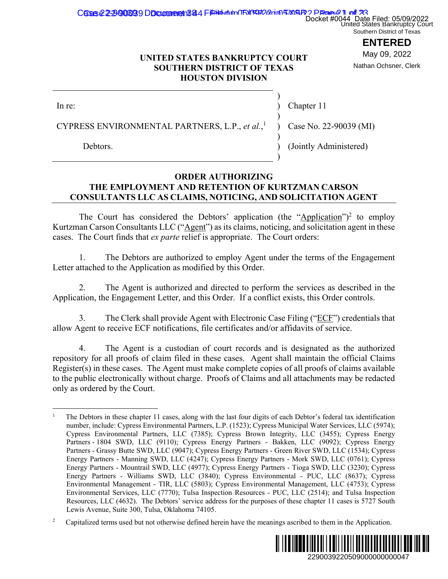## Cases 2229006939 DD comment 384 Filipid in ORY RATION TIME 22 Danne 21 of 33

Docket #0044 Date Filed: 05/09/2022<br>United States Bankruptcy Court Southern District of Texas

# **ENTERED**

May 09, 2022 Nathan Ochsner, Clerk

## **UNITED STATES BANKRUPTCY COURT SOUTHERN DISTRICT OF TEXAS HOUSTON DIVISION**

| In re:                                                                                             | Chapter 11             |
|----------------------------------------------------------------------------------------------------|------------------------|
| CYPRESS ENVIRONMENTAL PARTNERS, L.P., et al., $\overline{a}$ $\overline{b}$ Case No. 22-90039 (MI) |                        |
| Debtors.                                                                                           | (Jointly Administered) |

## **ORDER AUTHORIZING THE EMPLOYMENT AND RETENTION OF KURTZMAN CARSON CONSULTANTS LLC AS CLAIMS, NOTICING, AND SOLICITATION AGENT**

The Court has considered the Debtors' application (the "Application")<sup>2</sup> to employ Kurtzman Carson Consultants LLC ("Agent") as its claims, noticing, and solicitation agent in these cases. The Court finds that *ex parte* relief is appropriate. The Court orders:

1. The Debtors are authorized to employ Agent under the terms of the Engagement Letter attached to the Application as modified by this Order.

2. The Agent is authorized and directed to perform the services as described in the Application, the Engagement Letter, and this Order. If a conflict exists, this Order controls.

3. The Clerk shall provide Agent with Electronic Case Filing ("ECF") credentials that allow Agent to receive ECF notifications, file certificates and/or affidavits of service.

4. The Agent is a custodian of court records and is designated as the authorized repository for all proofs of claim filed in these cases. Agent shall maintain the official Claims Register(s) in these cases. The Agent must make complete copies of all proofs of claims available to the public electronically without charge. Proofs of Claims and all attachments may be redacted only as ordered by the Court.

<sup>&</sup>lt;sup>2</sup> Capitalized terms used but not otherwise defined herein have the meanings ascribed to them in the Application.



 $\overline{a}$ 1 The Debtors in these chapter 11 cases, along with the last four digits of each Debtor's federal tax identification number, include: Cypress Environmental Partners, L.P. (1523); Cypress Municipal Water Services, LLC (5974); Cypress Environmental Partners, LLC (7385); Cypress Brown Integrity, LLC (3455); Cypress Energy Partners - 1804 SWD, LLC (9110); Cypress Energy Partners - Bakken, LLC (9092); Cypress Energy Partners - Grassy Butte SWD, LLC (9047); Cypress Energy Partners - Green River SWD, LLC (1534); Cypress Energy Partners - Manning SWD, LLC (4247); Cypress Energy Partners - Mork SWD, LLC (0761); Cypress Energy Partners - Mountrail SWD, LLC (4977); Cypress Energy Partners - Tioga SWD, LLC (3230); Cypress Energy Partners - Williams SWD, LLC (3840); Cypress Environmental - PUC, LLC (8637); Cypress Environmental Management - TIR, LLC (5803); Cypress Environmental Management, LLC (4753); Cypress Environmental Services, LLC (7770); Tulsa Inspection Resources - PUC, LLC (2514); and Tulsa Inspection Resources, LLC (4632). The Debtors' service address for the purposes of these chapter 11 cases is 5727 South Lewis Avenue, Suite 300, Tulsa, Oklahoma 74105. Docket #0044 Date Filed: 05/09/2022<br> **ENTERED**<br> **ENTERED**<br> **ENTERED**<br> **ENTERED**<br> **ENTERED**<br> **ENTERED**<br> **ENTERED**<br> **ENTERED**<br> **ENTERED**<br> **ENTERED**<br>
<br> **ENTERED**<br> **ENTERED**<br> **ENTERED**<br> **ENTERED:**<br> **ENTERED:**<br> **ENTERED:**<br> **EN**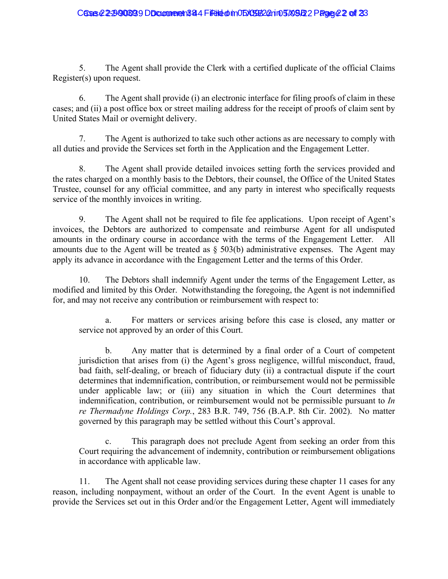### Cases 22-2900893 DD comment 344 Filed on 05X95622 rin 5709522 Page 22 of 23

5. The Agent shall provide the Clerk with a certified duplicate of the official Claims Register(s) upon request.

6. The Agent shall provide (i) an electronic interface for filing proofs of claim in these cases; and (ii) a post office box or street mailing address for the receipt of proofs of claim sent by United States Mail or overnight delivery.

7. The Agent is authorized to take such other actions as are necessary to comply with all duties and provide the Services set forth in the Application and the Engagement Letter.

8. The Agent shall provide detailed invoices setting forth the services provided and the rates charged on a monthly basis to the Debtors, their counsel, the Office of the United States Trustee, counsel for any official committee, and any party in interest who specifically requests service of the monthly invoices in writing.

9. The Agent shall not be required to file fee applications. Upon receipt of Agent's invoices, the Debtors are authorized to compensate and reimburse Agent for all undisputed amounts in the ordinary course in accordance with the terms of the Engagement Letter. All amounts due to the Agent will be treated as  $\S$  503(b) administrative expenses. The Agent may apply its advance in accordance with the Engagement Letter and the terms of this Order.

10. The Debtors shall indemnify Agent under the terms of the Engagement Letter, as modified and limited by this Order. Notwithstanding the foregoing, the Agent is not indemnified for, and may not receive any contribution or reimbursement with respect to:

For matters or services arising before this case is closed, any matter or service not approved by an order of this Court.

b. Any matter that is determined by a final order of a Court of competent jurisdiction that arises from (i) the Agent's gross negligence, willful misconduct, fraud, bad faith, self-dealing, or breach of fiduciary duty (ii) a contractual dispute if the court determines that indemnification, contribution, or reimbursement would not be permissible under applicable law; or (iii) any situation in which the Court determines that indemnification, contribution, or reimbursement would not be permissible pursuant to *In re Thermadyne Holdings Corp.*, 283 B.R. 749, 756 (B.A.P. 8th Cir. 2002). No matter governed by this paragraph may be settled without this Court's approval.

c. This paragraph does not preclude Agent from seeking an order from this Court requiring the advancement of indemnity, contribution or reimbursement obligations in accordance with applicable law.

11. The Agent shall not cease providing services during these chapter 11 cases for any reason, including nonpayment, without an order of the Court. In the event Agent is unable to provide the Services set out in this Order and/or the Engagement Letter, Agent will immediately